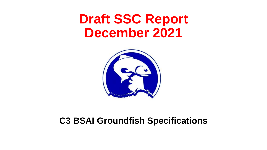# **Draft SSC Report December 2021**



#### **C3 BSAI Groundfish Specifications**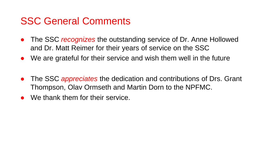### SSC General Comments

- The SSC *recognizes* the outstanding service of Dr. Anne Hollowed and Dr. Matt Reimer for their years of service on the SSC
- We are grateful for their service and wish them well in the future
- The SSC *appreciates* the dedication and contributions of Drs. Grant Thompson, Olav Ormseth and Martin Dorn to the NPFMC.
- We thank them for their service.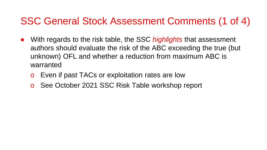### SSC General Stock Assessment Comments (1 of 4)

- With regards to the risk table, the SSC *highlights* that assessment authors should evaluate the risk of the ABC exceeding the true (but unknown) OFL and whether a reduction from maximum ABC is warranted
	- o Even if past TACs or exploitation rates are low
	- See October 2021 SSC Risk Table workshop report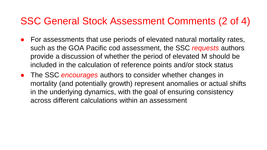### SSC General Stock Assessment Comments (2 of 4)

- For assessments that use periods of elevated natural mortality rates, such as the GOA Pacific cod assessment, the SSC *requests* authors provide a discussion of whether the period of elevated M should be included in the calculation of reference points and/or stock status
- The SSC *encourages* authors to consider whether changes in mortality (and potentially growth) represent anomalies or actual shifts in the underlying dynamics, with the goal of ensuring consistency across different calculations within an assessment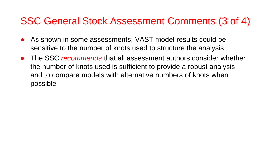### SSC General Stock Assessment Comments (3 of 4)

- As shown in some assessments, VAST model results could be sensitive to the number of knots used to structure the analysis
- The SSC *recommends* that all assessment authors consider whether the number of knots used is sufficient to provide a robust analysis and to compare models with alternative numbers of knots when possible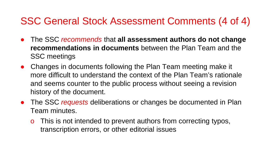### SSC General Stock Assessment Comments (4 of 4)

- The SSC *recommends* that **all assessment authors do not change recommendations in documents** between the Plan Team and the SSC meetings
- Changes in documents following the Plan Team meeting make it more difficult to understand the context of the Plan Team's rationale and seems counter to the public process without seeing a revision history of the document.
- The SSC *requests* deliberations or changes be documented in Plan Team minutes.
	- o This is not intended to prevent authors from correcting typos, transcription errors, or other editorial issues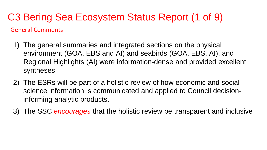#### C3 Bering Sea Ecosystem Status Report (1 of 9) General Comments

- 1) The general summaries and integrated sections on the physical environment (GOA, EBS and AI) and seabirds (GOA, EBS, AI), and Regional Highlights (AI) were information-dense and provided excellent syntheses
- 2) The ESRs will be part of a holistic review of how economic and social science information is communicated and applied to Council decisioninforming analytic products.
- 3) The SSC *encourages* that the holistic review be transparent and inclusive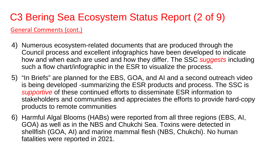# C3 Bering Sea Ecosystem Status Report (2 of 9)

General Comments (cont.)

- 4) Numerous ecosystem-related documents that are produced through the Council process and excellent infographics have been developed to indicate how and when each are used and how they differ. The SSC *suggests* including such a flow chart/infographic in the ESR to visualize the process.
- 5) "In Briefs" are planned for the EBS, GOA, and AI and a second outreach video is being developed -summarizing the ESR products and process. The SSC is *supportive* of these continued efforts to disseminate ESR information to stakeholders and communities and appreciates the efforts to provide hard-copy products to remote communities
- 6) Harmful Algal Blooms (HABs) were reported from all three regions (EBS, AI, GOA) as well as in the NBS and Chukchi Sea. Toxins were detected in shellfish (GOA, AI) and marine mammal flesh (NBS, Chukchi). No human fatalities were reported in 2021.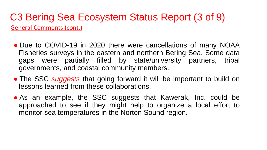#### C3 Bering Sea Ecosystem Status Report (3 of 9) General Comments (cont.)

- Due to COVID-19 in 2020 there were cancellations of many NOAA Fisheries surveys in the eastern and northern Bering Sea. Some data gaps were partially filled by state/university partners, tribal governments, and coastal community members.
- The SSC *suggests* that going forward it will be important to build on lessons learned from these collaborations.
- As an example, the SSC suggests that Kawerak, Inc. could be approached to see if they might help to organize a local effort to monitor sea temperatures in the Norton Sound region.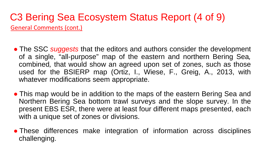#### C3 Bering Sea Ecosystem Status Report (4 of 9) General Comments (cont.)

- The SSC *suggests* that the editors and authors consider the development of a single, "all-purpose" map of the eastern and northern Bering Sea*,* combined*,* that would show an agreed upon set of zones, such as those used for the BSIERP map (Ortiz, I., Wiese, F., Greig, A., 2013, with whatever modifications seem appropriate.
- This map would be in addition to the maps of the eastern Bering Sea and Northern Bering Sea bottom trawl surveys and the slope survey. In the present EBS ESR, there were at least four different maps presented, each with a unique set of zones or divisions.
- These differences make integration of information across disciplines challenging.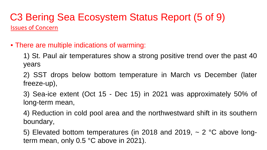#### C3 Bering Sea Ecosystem Status Report (5 of 9) Issues of Concern

• There are multiple indications of warming:

1) St. Paul air temperatures show a strong positive trend over the past 40 years

2) SST drops below bottom temperature in March vs December (later freeze-up),

3) Sea-ice extent (Oct 15 - Dec 15) in 2021 was approximately 50% of long-term mean,

4) Reduction in cold pool area and the northwestward shift in its southern boundary,

5) Elevated bottom temperatures (in 2018 and 2019,  $\sim$  2 °C above longterm mean, only 0.5 °C above in 2021).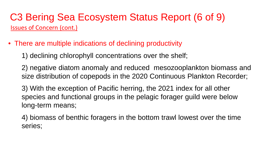#### C3 Bering Sea Ecosystem Status Report (6 of 9) Issues of Concern (cont.)

- There are multiple indications of declining productivity
	- 1) declining chlorophyll concentrations over the shelf;
	- 2) negative diatom anomaly and reduced mesozooplankton biomass and size distribution of copepods in the 2020 Continuous Plankton Recorder;
	- 3) With the exception of Pacific herring, the 2021 index for all other species and functional groups in the pelagic forager guild were below long-term means;
	- 4) biomass of benthic foragers in the bottom trawl lowest over the time series;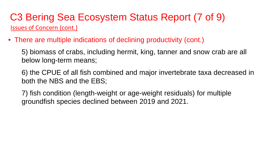#### C3 Bering Sea Ecosystem Status Report (7 of 9) Issues of Concern (cont.)

• There are multiple indications of declining productivity (cont.)

5) biomass of crabs, including hermit, king, tanner and snow crab are all below long-term means;

6) the CPUE of all fish combined and major invertebrate taxa decreased in both the NBS and the EBS;

7) fish condition (length-weight or age-weight residuals) for multiple groundfish species declined between 2019 and 2021.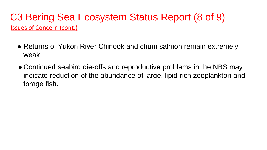#### C3 Bering Sea Ecosystem Status Report (8 of 9) Issues of Concern (cont.)

- Returns of Yukon River Chinook and chum salmon remain extremely weak
- Continued seabird die-offs and reproductive problems in the NBS may indicate reduction of the abundance of large, lipid-rich zooplankton and forage fish.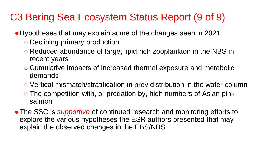## C3 Bering Sea Ecosystem Status Report (9 of 9)

- Hypotheses that may explain some of the changes seen in 2021:
	- Declining primary production
	- Reduced abundance of large, lipid-rich zooplankton in the NBS in recent years
	- Cumulative impacts of increased thermal exposure and metabolic demands
	- Vertical mismatch/stratification in prey distribution in the water column
	- $\circ$  The competition with, or predation by, high numbers of Asian pink salmon
- The SSC is *supportive* of continued research and monitoring efforts to explore the various hypotheses the ESR authors presented that may explain the observed changes in the EBS/NBS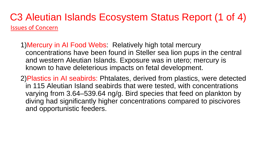#### C3 Aleutian Islands Ecosystem Status Report (1 of 4) Issues of Concern

- 1)Mercury in AI Food Webs: Relatively high total mercury concentrations have been found in Steller sea lion pups in the central and western Aleutian Islands. Exposure was in utero; mercury is known to have deleterious impacts on fetal development.
- 2)Plastics in AI seabirds: Phtalates, derived from plastics, were detected in 115 Aleutian Island seabirds that were tested, with concentrations varying from 3.64–539.64 ng/g. Bird species that feed on plankton by diving had significantly higher concentrations compared to piscivores and opportunistic feeders.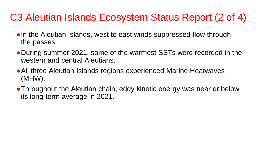## C3 Aleutian Islands Ecosystem Status Report (2 of 4)

- In the Aleutian Islands, west to east winds suppressed flow through the passes
- During summer 2021, some of the warmest SSTs were recorded in the western and central Aleutians.
- ●All three Aleutian Islands regions experienced Marine Heatwaves (MHW).
- Throughout the Aleutian chain, eddy kinetic energy was near or below its long-term average in 2021.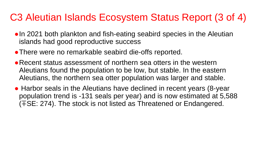### C3 Aleutian Islands Ecosystem Status Report (3 of 4)

- In 2021 both plankton and fish-eating seabird species in the Aleutian islands had good reproductive success
- ●There were no remarkable seabird die-offs reported.
- Recent status assessment of northern sea otters in the western Aleutians found the population to be low, but stable. In the eastern Aleutians, the northern sea otter population was larger and stable.
- Harbor seals in the Aleutians have declined in recent years (8-year population trend is -131 seals per year) and is now estimated at 5,588 (∓SE: 274). The stock is not listed as Threatened or Endangered.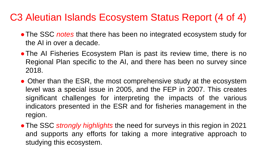### C3 Aleutian Islands Ecosystem Status Report (4 of 4)

- The SSC *notes* that there has been no integrated ecosystem study for the AI in over a decade.
- The AI Fisheries Ecosystem Plan is past its review time, there is no Regional Plan specific to the AI, and there has been no survey since 2018.
- Other than the ESR, the most comprehensive study at the ecosystem level was a special issue in 2005, and the FEP in 2007. This creates significant challenges for interpreting the impacts of the various indicators presented in the ESR and for fisheries management in the region.
- ●The SSC *strongly highlights* the need for surveys in this region in 2021 and supports any efforts for taking a more integrative approach to studying this ecosystem.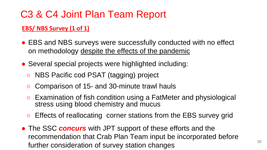#### **EBS/ NBS Survey (1 of 1)**

- EBS and NBS surveys were successfully conducted with no effect on methodology despite the effects of the pandemic
- Several special projects were highlighted including:
	- NBS Pacific cod PSAT (tagging) project
	- Comparison of 15- and 30-minute trawl hauls
	- Examination of fish condition using a FatMeter and physiological stress using blood chemistry and mucus
	- Effects of reallocating corner stations from the EBS survey grid
- The SSC *concurs* with JPT support of these efforts and the recommendation that Crab Plan Team input be incorporated before further consideration of survey station changes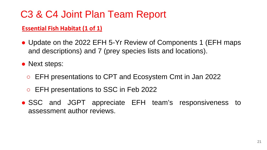#### **Essential Fish Habitat (1 of 1)**

• Update on the 2022 EFH 5-Yr Review of Components 1 (EFH maps and descriptions) and 7 (prey species lists and locations).

• Next steps:

- EFH presentations to CPT and Ecosystem Cmt in Jan 2022
- EFH presentations to SSC in Feb 2022
- SSC and JGPT appreciate EFH team's responsiveness to assessment author reviews.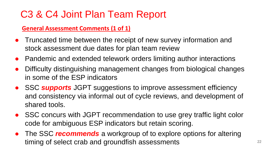#### **General Assessment Comments (1 of 1)**

- Truncated time between the receipt of new survey information and stock assessment due dates for plan team review
- Pandemic and extended telework orders limiting author interactions
- Difficulty distinguishing management changes from biological changes in some of the ESP indicators
- SSC **supports** JGPT suggestions to improve assessment efficiency and consistency via informal out of cycle reviews, and development of shared tools.
- SSC concurs with JGPT recommendation to use grey traffic light color code for ambiguous ESP indicators but retain scoring.
- The SSC *recommends* a workgroup of to explore options for altering timing of select crab and groundfish assessments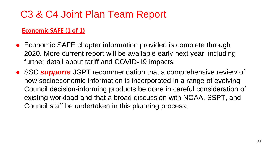#### **Economic SAFE (1 of 1)**

- Economic SAFE chapter information provided is complete through 2020. More current report will be available early next year, including further detail about tariff and COVID-19 impacts
- SSC **supports** JGPT recommendation that a comprehensive review of how socioeconomic information is incorporated in a range of evolving Council decision-informing products be done in careful consideration of existing workload and that a broad discussion with NOAA, SSPT, and Council staff be undertaken in this planning process.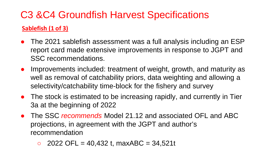#### **Sablefish (1 of 3)**

- The 2021 sablefish assessment was a full analysis including an ESP report card made extensive improvements in response to JGPT and SSC recommendations.
- Improvements included: treatment of weight, growth, and maturity as well as removal of catchability priors, data weighting and allowing a selectivity/catchability time-block for the fishery and survey
- The stock is estimated to be increasing rapidly, and currently in Tier 3a at the beginning of 2022
- The SSC *recommends* Model 21.12 and associated OFL and ABC projections, in agreement with the JGPT and author's recommendation
	- $\degree$  2022 OFL = 40,432 t, maxABC = 34,521t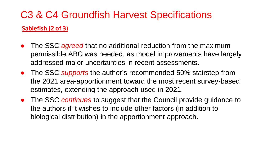## C3 & C4 Groundfish Harvest Specifications **Sablefish (2 of 3)**

- The SSC *agreed* that no additional reduction from the maximum permissible ABC was needed, as model improvements have largely addressed major uncertainties in recent assessments.
- The SSC *supports* the author's recommended 50% stairstep from the 2021 area-apportionment toward the most recent survey-based estimates, extending the approach used in 2021.
- The SSC *continues* to suggest that the Council provide guidance to the authors if it wishes to include other factors (in addition to biological distribution) in the apportionment approach.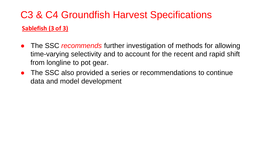## C3 & C4 Groundfish Harvest Specifications **Sablefish (3 of 3)**

- The SSC *recommends* further investigation of methods for allowing time-varying selectivity and to account for the recent and rapid shift from longline to pot gear.
- The SSC also provided a series or recommendations to continue data and model development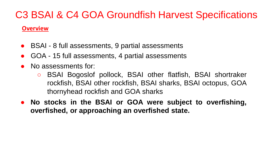#### **Overview**

- BSAI 8 full assessments, 9 partial assessments
- GOA 15 full assessments, 4 partial assessments
- No assessments for:
	- BSAI Bogoslof pollock, BSAI other flatfish, BSAI shortraker rockfish, BSAI other rockfish, BSAI sharks, BSAI octopus, GOA thornyhead rockfish and GOA sharks
- **No stocks in the BSAI or GOA were subject to overfishing, overfished, or approaching an overfished state.**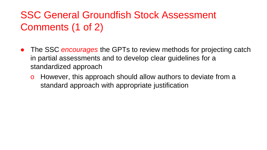# SSC General Groundfish Stock Assessment Comments (1 of 2)

- The SSC *encourages* the GPTs to review methods for projecting catch in partial assessments and to develop clear guidelines for a standardized approach
	- o However, this approach should allow authors to deviate from a standard approach with appropriate justification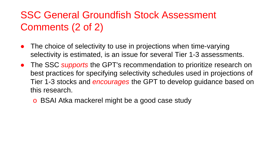# SSC General Groundfish Stock Assessment Comments (2 of 2)

- The choice of selectivity to use in projections when time-varying selectivity is estimated, is an issue for several Tier 1-3 assessments.
- The SSC *supports* the GPT's recommendation to prioritize research on best practices for specifying selectivity schedules used in projections of Tier 1-3 stocks and *encourages* the GPT to develop guidance based on this research.
	- o BSAI Atka mackerel might be a good case study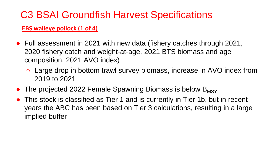#### **EBS walleye pollock (1 of 4)**

- Full assessment in 2021 with new data (fishery catches through 2021, 2020 fishery catch and weight-at-age, 2021 BTS biomass and age composition, 2021 AVO index)
	- Large drop in bottom trawl survey biomass, increase in AVO index from 2019 to 2021
- The projected 2022 Female Spawning Biomass is below  $B_{MSV}$
- This stock is classified as Tier 1 and is currently in Tier 1b, but in recent years the ABC has been based on Tier 3 calculations, resulting in a large implied buffer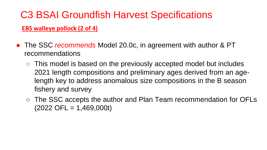#### **EBS walleye pollock (2 of 4)**

- The SSC *recommends* Model 20.0c, in agreement with author & PT recommendations
	- This model is based on the previously accepted model but includes 2021 length compositions and preliminary ages derived from an agelength key to address anomalous size compositions in the B season fishery and survey
	- The SSC accepts the author and Plan Team recommendation for OFLs  $(2022$  OFL = 1,469,000t)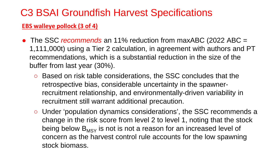#### **EBS walleye pollock (3 of 4)**

- The SSC *recommends* an 11% reduction from maxABC (2022 ABC = 1,111,000t) using a Tier 2 calculation, in agreement with authors and PT recommendations, which is a substantial reduction in the size of the buffer from last year (30%).
	- Based on risk table considerations, the SSC concludes that the retrospective bias, considerable uncertainty in the spawnerrecruitment relationship, and environmentally-driven variability in recruitment still warrant additional precaution.
	- Under 'population dynamics considerations', the SSC recommends a change in the risk score from level 2 to level 1, noting that the stock being below  $B_{MSY}$  is not is not a reason for an increased level of concern as the harvest control rule accounts for the low spawning stock biomass.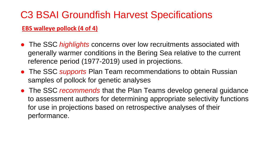#### **EBS walleye pollock (4 of 4)**

- The SSC *highlights* concerns over low recruitments associated with generally warmer conditions in the Bering Sea relative to the current reference period (1977-2019) used in projections.
- The SSC *supports* Plan Team recommendations to obtain Russian samples of pollock for genetic analyses
- The SSC *recommends* that the Plan Teams develop general guidance to assessment authors for determining appropriate selectivity functions for use in projections based on retrospective analyses of their performance.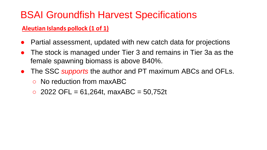#### **Aleutian Islands pollock (1 of 1)**

- Partial assessment, updated with new catch data for projections
- The stock is managed under Tier 3 and remains in Tier 3a as the female spawning biomass is above B40%.
- The SSC *supports* the author and PT maximum ABCs and OFLs. ○ No reduction from maxABC
	- $\circ$  2022 OFL = 61,264t, maxABC = 50,752t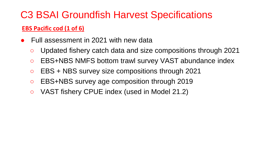#### **EBS Pacific cod (1 of 6)**

- Full assessment in 2021 with new data
	- Updated fishery catch data and size compositions through 2021
	- EBS+NBS NMFS bottom trawl survey VAST abundance index
	- EBS + NBS survey size compositions through 2021
	- EBS+NBS survey age composition through 2019
	- VAST fishery CPUE index (used in Model 21.2)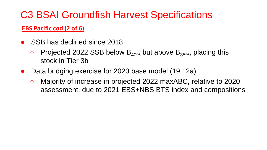#### **EBS Pacific cod (2 of 6)**

- SSB has declined since 2018
	- $\circ$  Projected 2022 SSB below B<sub>40%</sub> but above B<sub>35%</sub>, placing this stock in Tier 3b
- Data bridging exercise for 2020 base model (19.12a)
	- Majority of increase in projected 2022 maxABC, relative to 2020 assessment, due to 2021 EBS+NBS BTS index and compositions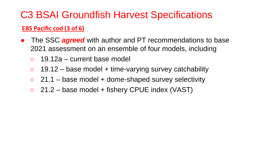#### **EBS Pacific cod (3 of 6)**

- The SSC *agreed* with author and PT recommendations to base 2021 assessment on an ensemble of four models, including
	- $\circ$  19.12a current base model
	- $\circ$  19.12 base model + time-varying survey catchability
	- $\circ$  21.1 base model + dome-shaped survey selectivity
	- $\circ$  21.2 base model + fishery CPUE index (VAST)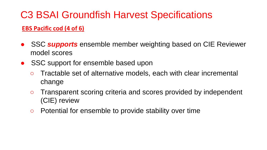#### **EBS Pacific cod (4 of 6)**

- SSC **supports** ensemble member weighting based on CIE Reviewer model scores
- SSC support for ensemble based upon
	- Tractable set of alternative models, each with clear incremental change
	- Transparent scoring criteria and scores provided by independent (CIE) review
	- Potential for ensemble to provide stability over time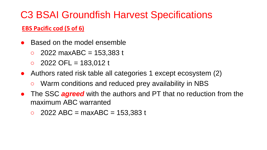#### **EBS Pacific cod (5 of 6)**

- **Based on the model ensemble** 
	- $2022$  maxABC = 153,383 t
	- $\degree$  2022 OFL = 183,012 t
- Authors rated risk table all categories 1 except ecosystem (2)
	- Warm conditions and reduced prey availability in NBS
- The SSC **agreed** with the authors and PT that no reduction from the maximum ABC warranted
	- $\circ$  2022 ABC = maxABC = 153,383 t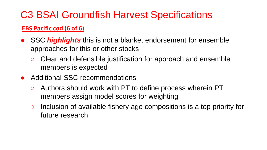#### **EBS Pacific cod (6 of 6)**

- SSC *highlights* this is not a blanket endorsement for ensemble approaches for this or other stocks
	- Clear and defensible justification for approach and ensemble members is expected
- Additional SSC recommendations
	- Authors should work with PT to define process wherein PT members assign model scores for weighting
	- Inclusion of available fishery age compositions is a top priority for future research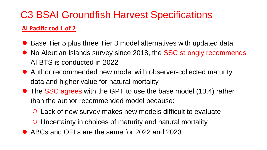#### **AI Pacific cod 1 of 2**

- Base Tier 5 plus three Tier 3 model alternatives with updated data
- No Aleutian Islands survey since 2018, the SSC strongly recommends AI BTS is conducted in 2022
- Author recommended new model with observer-collected maturity data and higher value for natural mortality
- The SSC agrees with the GPT to use the base model (13.4) rather than the author recommended model because:
	- Lack of new survey makes new models difficult to evaluate
	- Uncertainty in choices of maturity and natural mortality
- ABCs and OFLs are the same for 2022 and 2023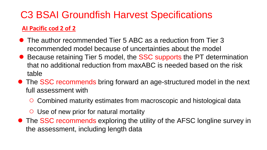#### **AI Pacific cod 2 of 2**

- The author recommended Tier 5 ABC as a reduction from Tier 3 recommended model because of uncertainties about the model
- Because retaining Tier 5 model, the SSC supports the PT determination that no additional reduction from maxABC is needed based on the risk table
- The SSC recommends bring forward an age-structured model in the next full assessment with
	- Combined maturity estimates from macroscopic and histological data
	- Use of new prior for natural mortality
- The SSC recommends exploring the utility of the AFSC longline survey in the assessment, including length data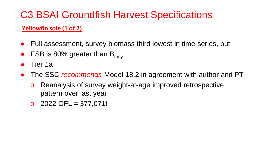#### **Yellowfin sole (1 of 2)**

- Full assessment, survey biomass third lowest in time-series, but
- FSB is 80% greater than  $B_{\text{msv}}$
- Tier 1a
- The SSC *recommends* Model 18.2 in agreement with author and PT
	- o Reanalysis of survey weight-at-age improved retrospective pattern over last year
	- $O$  2022 OFL = 377,071t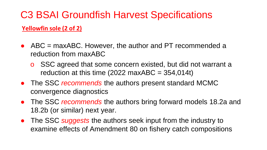**Yellowfin sole (2 of 2)**

- $\bullet$  ABC = maxABC. However, the author and PT recommended a reduction from maxABC
	- o SSC agreed that some concern existed, but did not warrant a reduction at this time (2022 maxABC =  $354,014t$ )
- The SSC *recommends* the authors present standard MCMC convergence diagnostics
- The SSC *recommends* the authors bring forward models 18.2a and 18.2b (or similar) next year.
- The SSC *suggests* the authors seek input from the industry to examine effects of Amendment 80 on fishery catch compositions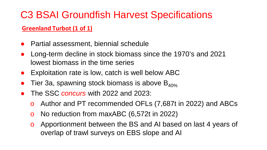#### **Greenland Turbot (1 of 1)**

- Partial assessment, biennial schedule
- Long-term decline in stock biomass since the 1970's and 2021 lowest biomass in the time series
- Exploitation rate is low, catch is well below ABC
- Tier 3a, spawning stock biomass is above  $B_{40\%}$
- The SSC *concurs* with 2022 and 2023:
	- o Author and PT recommended OFLs (7,687t in 2022) and ABCs
	- o No reduction from maxABC (6,572t in 2022)
	- o Apportionment between the BS and AI based on last 4 years of overlap of trawl surveys on EBS slope and AI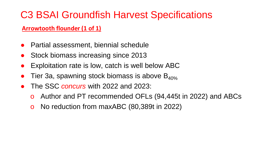#### **Arrowtooth flounder (1 of 1)**

- Partial assessment, biennial schedule
- Stock biomass increasing since 2013
- Exploitation rate is low, catch is well below ABC
- Tier 3a, spawning stock biomass is above  $B_{40\%}$
- The SSC *concurs* with 2022 and 2023:
	- o Author and PT recommended OFLs (94,445t in 2022) and ABCs
	- o No reduction from maxABC (80,389t in 2022)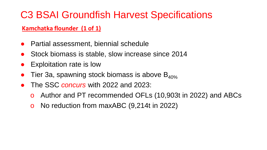#### **Kamchatka flounder (1 of 1)**

- **Partial assessment, biennial schedule**
- Stock biomass is stable, slow increase since 2014
- **Exploitation rate is low**
- Tier 3a, spawning stock biomass is above  $B_{40\%}$
- The SSC *concurs* with 2022 and 2023:
	- o Author and PT recommended OFLs (10,903t in 2022) and ABCs
	- o No reduction from maxABC (9,214t in 2022)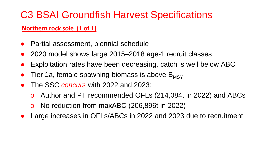#### **Northern rock sole (1 of 1)**

- Partial assessment, biennial schedule
- 2020 model shows large 2015–2018 age-1 recruit classes
- Exploitation rates have been decreasing, catch is well below ABC
- Tier 1a, female spawning biomass is above  $B_{MSY}$
- The SSC *concurs* with 2022 and 2023:
	- o Author and PT recommended OFLs (214,084t in 2022) and ABCs
	- o No reduction from maxABC (206,896t in 2022)
- Large increases in OFLs/ABCs in 2022 and 2023 due to recruitment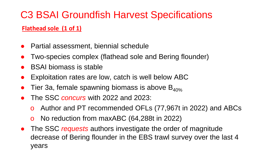#### **Flathead sole (1 of 1)**

- Partial assessment, biennial schedule
- Two-species complex (flathead sole and Bering flounder)
- **BSAI biomass is stable**
- Exploitation rates are low, catch is well below ABC
- Tier 3a, female spawning biomass is above  $B_{40\%}$
- The SSC *concurs* with 2022 and 2023:
	- o Author and PT recommended OFLs (77,967t in 2022) and ABCs
	- o No reduction from maxABC (64,288t in 2022)
- The SSC *requests* authors investigate the order of magnitude decrease of Bering flounder in the EBS trawl survey over the last 4 years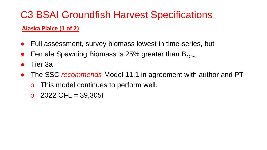#### **Alaska Plaice (1 of 2)**

- Full assessment, survey biomass lowest in time-series, but
- Female Spawning Biomass is 25% greater than  $B_{40\%}$
- Tier 3a
- The SSC *recommends* Model 11.1 in agreement with author and PT
	- o This model continues to perform well.
	- $O$  2022 OFL = 39,305t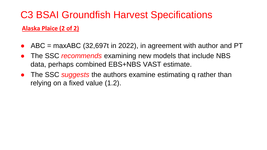**Alaska Plaice (2 of 2)**

- $ABC$  = maxABC (32,697t in 2022), in agreement with author and PT
- The SSC *recommends* examining new models that include NBS data, perhaps combined EBS+NBS VAST estimate.
- The SSC *suggests* the authors examine estimating q rather than relying on a fixed value (1.2).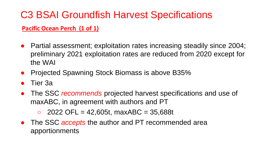#### **Pacific Ocean Perch (1 of 1)**

- Partial assessment; exploitation rates increasing steadily since 2004; preliminary 2021 exploitation rates are reduced from 2020 except for the WAI
- Projected Spawning Stock Biomass is above B35%
- Tier 3a
- The SSC *recommends* projected harvest specifications and use of maxABC, in agreement with authors and PT
	- $\circ$  2022 OFL = 42,605t, maxABC = 35,688t
- The SSC *accepts* the author and PT recommended area apportionments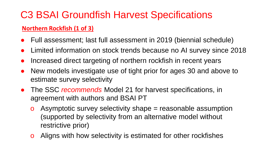#### **Northern Rockfish (1 of 3)**

- Full assessment; last full assessment in 2019 (biennial schedule)
- Limited information on stock trends because no AI survey since 2018
- Increased direct targeting of northern rockfish in recent years
- New models investigate use of tight prior for ages 30 and above to estimate survey selectivity
- The SSC *recommends* Model 21 for harvest specifications, in agreement with authors and BSAI PT
	- o Asymptotic survey selectivity shape = reasonable assumption (supported by selectivity from an alternative model without restrictive prior)
	- o Aligns with how selectivity is estimated for other rockfishes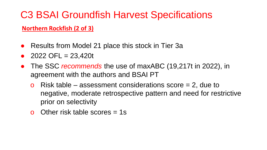#### **Northern Rockfish (2 of 3)**

- Results from Model 21 place this stock in Tier 3a
- $2022$  OFL = 23,420t
- The SSC *recommends* the use of maxABC (19,217t in 2022), in agreement with the authors and BSAI PT
	- **o** Risk table assessment considerations score  $= 2$ , due to negative, moderate retrospective pattern and need for restrictive prior on selectivity
	- o Other risk table scores  $= 1$ s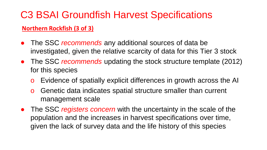#### **Northern Rockfish (3 of 3)**

- The SSC *recommends* any additional sources of data be investigated, given the relative scarcity of data for this Tier 3 stock
- The SSC *recommends* updating the stock structure template (2012) for this species
	- o Evidence of spatially explicit differences in growth across the AI
	- o Genetic data indicates spatial structure smaller than current management scale
- The SSC *registers concern* with the uncertainty in the scale of the population and the increases in harvest specifications over time, given the lack of survey data and the life history of this species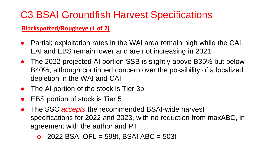#### **Blackspotted/Rougheye (1 of 2)**

- Partial; exploitation rates in the WAI area remain high while the CAI, EAI and EBS remain lower and are not increasing in 2021
- The 2022 projected AI portion SSB is slightly above B35% but below B40%, although continued concern over the possibility of a localized depletion in the WAI and CAI
- The AI portion of the stock is Tier 3b
- EBS portion of stock is Tier 5
- The SSC *accepts* the recommended BSAI-wide harvest specifications for 2022 and 2023, with no reduction from maxABC, in agreement with the author and PT
	- o 2022 BSAI OFL = 598t, BSAI ABC = 503t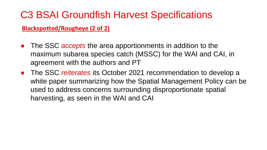**Blackspotted/Rougheye (2 of 2)**

- The SSC *accepts* the area apportionments in addition to the maximum subarea species catch (MSSC) for the WAI and CAI, in agreement with the authors and PT
- The SSC *reiterates* its October 2021 recommendation to develop a white paper summarizing how the Spatial Management Policy can be used to address concerns surrounding disproportionate spatial harvesting, as seen in the WAI and CAI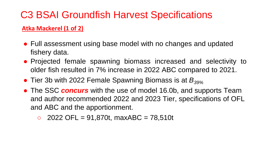#### **Atka Mackerel (1 of 2)**

- Full assessment using base model with no changes and updated fishery data.
- Projected female spawning biomass increased and selectivity to older fish resulted in 7% increase in 2022 ABC compared to 2021.
- Tier 3b with 2022 Female Spawning Biomass is at *B<sub>39%</sub>*
- The SSC *concurs* with the use of model 16.0b, and supports Team and author recommended 2022 and 2023 Tier, specifications of OFL and ABC and the apportionment.
	- $\degree$  2022 OFL = 91,870t, maxABC = 78,510t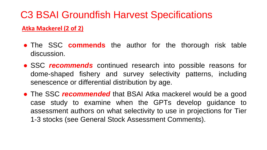#### **Atka Mackerel (2 of 2)**

- **The SSC commends** the author for the thorough risk table discussion.
- SSC *recommends* continued research into possible reasons for dome-shaped fishery and survey selectivity patterns, including senescence or differential distribution by age.
- The SSC *recommended* that BSAI Atka mackerel would be a good case study to examine when the GPTs develop guidance to assessment authors on what selectivity to use in projections for Tier 1-3 stocks (see General Stock Assessment Comments).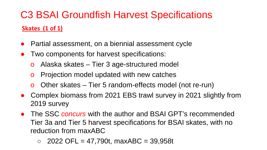### C3 BSAI Groundfish Harvest Specifications **Skates (1 of 1)**

- Partial assessment, on a biennial assessment cycle
- Two components for harvest specifications:
	- o Alaska skates Tier 3 age-structured model
	- o Projection model updated with new catches
	- o Other skates Tier 5 random-effects model (not re-run)
- Complex biomass from 2021 EBS trawl survey in 2021 slightly from 2019 survey
- The SSC *concurs* with the author and BSAI GPT's recommended Tier 3a and Tier 5 harvest specifications for BSAI skates, with no reduction from maxABC
	- $\circ$  2022 OFL = 47,790t, maxABC = 39,958t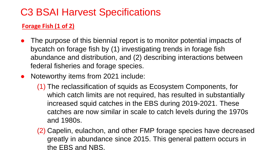### C3 BSAI Harvest Specifications

#### **Forage Fish (1 of 2)**

- The purpose of this biennial report is to monitor potential impacts of bycatch on forage fish by (1) investigating trends in forage fish abundance and distribution, and (2) describing interactions between federal fisheries and forage species.
- Noteworthy items from 2021 include:
	- (1) The reclassification of squids as Ecosystem Components, for which catch limits are not required, has resulted in substantially increased squid catches in the EBS during 2019-2021. These catches are now similar in scale to catch levels during the 1970s and 1980s.
	- (2) Capelin, eulachon, and other FMP forage species have decreased greatly in abundance since 2015. This general pattern occurs in the EBS and NBS.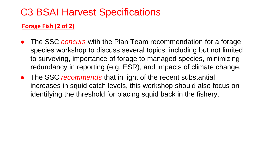### C3 BSAI Harvest Specifications

#### **Forage Fish (2 of 2)**

- The SSC *concurs* with the Plan Team recommendation for a forage species workshop to discuss several topics, including but not limited to surveying, importance of forage to managed species, minimizing redundancy in reporting (e.g. ESR), and impacts of climate change.
- The SSC *recommends* that in light of the recent substantial increases in squid catch levels, this workshop should also focus on identifying the threshold for placing squid back in the fishery.